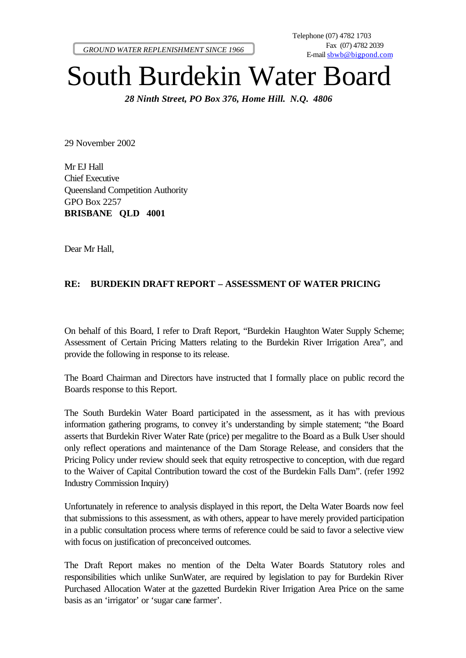*GROUND WATER REPLENISHMENT SINCE 1966*

## South Burdekin Water Board

*28 Ninth Street, PO Box 376, Home Hill. N.Q. 4806*

29 November 2002

Mr EJ Hall Chief Executive Queensland Competition Authority GPO Box 2257 **BRISBANE QLD 4001**

Dear Mr Hall,

## **RE: BURDEKIN DRAFT REPORT – ASSESSMENT OF WATER PRICING**

On behalf of this Board, I refer to Draft Report, "Burdekin Haughton Water Supply Scheme; Assessment of Certain Pricing Matters relating to the Burdekin River Irrigation Area", and provide the following in response to its release.

The Board Chairman and Directors have instructed that I formally place on public record the Boards response to this Report.

The South Burdekin Water Board participated in the assessment, as it has with previous information gathering programs, to convey it's understanding by simple statement; "the Board asserts that Burdekin River Water Rate (price) per megalitre to the Board as a Bulk User should only reflect operations and maintenance of the Dam Storage Release, and considers that the Pricing Policy under review should seek that equity retrospective to conception, with due regard to the Waiver of Capital Contribution toward the cost of the Burdekin Falls Dam". (refer 1992 Industry Commission Inquiry)

Unfortunately in reference to analysis displayed in this report, the Delta Water Boards now feel that submissions to this assessment, as with others, appear to have merely provided participation in a public consultation process where terms of reference could be said to favor a selective view with focus on justification of preconceived outcomes.

The Draft Report makes no mention of the Delta Water Boards Statutory roles and responsibilities which unlike SunWater, are required by legislation to pay for Burdekin River Purchased Allocation Water at the gazetted Burdekin River Irrigation Area Price on the same basis as an 'irrigator' or 'sugar cane farmer'.